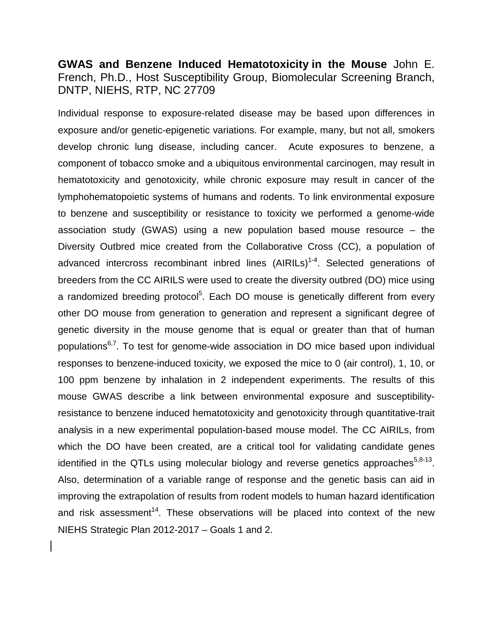**GWAS and Benzene Induced Hematotoxicity in the Mouse** John E. French, Ph.D., Host Susceptibility Group, Biomolecular Screening Branch, DNTP, NIEHS, RTP, NC 27709

Individual response to exposure-related disease may be based upon differences in exposure and/or genetic-epigenetic variations. For example, many, but not all, smokers develop chronic lung disease, including cancer. Acute exposures to benzene, a component of tobacco smoke and a ubiquitous environmental carcinogen, may result in hematotoxicity and genotoxicity, while chronic exposure may result in cancer of the lymphohematopoietic systems of humans and rodents. To link environmental exposure to benzene and susceptibility or resistance to toxicity we performed a genome-wide association study (GWAS) using a new population based mouse resource – the Diversity Outbred mice created from the Collaborative Cross (CC), a population of advanced intercross recombinant inbred lines (AIRILs)<sup>1-4</sup>. Selected generations of breeders from the CC AIRILS were used to create the diversity outbred (DO) mice using a randomized breeding protocol<sup>5</sup>. Each DO mouse is genetically different from every other DO mouse from generation to generation and represent a significant degree of genetic diversity in the mouse genome that is equal or greater than that of human populations<sup>6,[7](#page-1-3)</sup>. To test for genome-wide association in DO mice based upon individual responses to benzene-induced toxicity, we exposed the mice to 0 (air control), 1, 10, or 100 ppm benzene by inhalation in 2 independent experiments. The results of this mouse GWAS describe a link between environmental exposure and susceptibilityresistance to benzene induced hematotoxicity and genotoxicity through quantitative-trait analysis in a new experimental population-based mouse model. The CC AIRILs, from which the DO have been created, are a critical tool for validating candidate genes identified in the QTLs using molecular biology and reverse genetics approaches $5,8-13$  $5,8-13$ . Also, determination of a variable range of response and the genetic basis can aid in improving the extrapolation of results from rodent models to human hazard identification and risk assessment<sup>14</sup>. These observations will be placed into context of the new NIEHS Strategic Plan 2012-2017 – Goals 1 and 2.